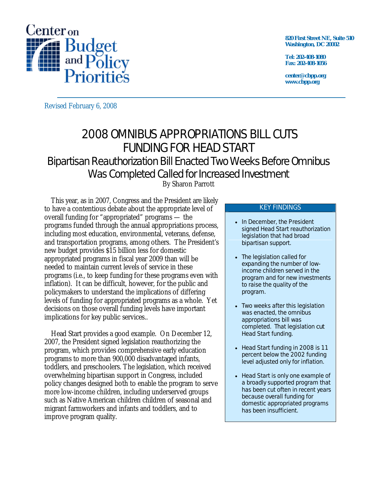

**820 First Street NE, Suite 510 Washington, DC 20002** 

**Tel: 202-408-1080 Fax: 202-408-1056** 

**center@cbpp.org www.cbpp.org** 

Revised February 6, 2008

# 2008 OMNIBUS APPROPRIATIONS BILL CUTS FUNDING FOR HEAD START Bipartisan Reauthorization Bill Enacted Two Weeks Before Omnibus Was Completed Called for Increased Investment

By Sharon Parrott

 This year, as in 2007, Congress and the President are likely to have a contentious debate about the appropriate level of overall funding for "appropriated" programs — the programs funded through the annual appropriations process, including most education, environmental, veterans, defense, and transportation programs, among others. The President's new budget provides \$15 billion less for domestic appropriated programs in fiscal year 2009 than will be needed to maintain current levels of service in these programs (i.e., to keep funding for these programs even with inflation). It can be difficult, however, for the public and policymakers to understand the implications of differing levels of funding for appropriated programs as a whole. Yet decisions on those overall funding levels have important implications for key public services..

 Head Start provides a good example. On December 12, 2007, the President signed legislation reauthorizing the program, which provides comprehensive early education programs to more than 900,000 disadvantaged infants, toddlers, and preschoolers. The legislation, which received overwhelming bipartisan support in Congress, included policy changes designed both to enable the program to serve more low-income children, including underserved groups such as Native American children children of seasonal and migrant farmworkers and infants and toddlers, and to improve program quality.

#### KEY FINDINGS

- In December, the President signed Head Start reauthorization legislation that had broad bipartisan support.
- The legislation called for expanding the number of lowincome children served in the program and for new investments to raise the quality of the program.
- Two weeks after this legislation was enacted, the omnibus appropriations bill was completed. That legislation *cut* Head Start funding.
- Head Start funding in 2008 is 11 percent below the 2002 funding level adjusted only for inflation.
- Head Start is only one example of a broadly supported program that has been cut often in recent years because overall funding for domestic appropriated programs has been insufficient.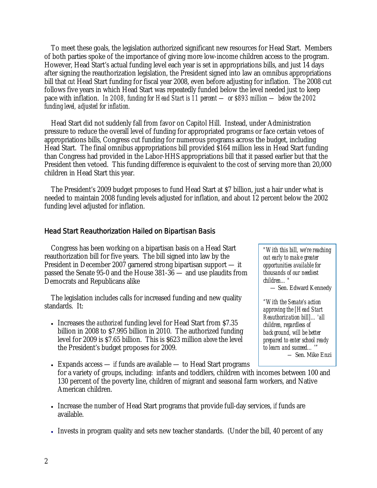To meet these goals, the legislation authorized significant new resources for Head Start. Members of both parties spoke of the importance of giving more low-income children access to the program. However, Head Start's actual funding level each year is set in appropriations bills, and just 14 days after signing the reauthorization legislation, the President signed into law an omnibus appropriations bill that *cut* Head Start funding for fiscal year 2008, even before adjusting for inflation. The 2008 cut follows five years in which Head Start was repeatedly funded below the level needed just to keep pace with inflation. *In 2008, funding for Head Start is 11 percent — or \$893 million — below the 2002 funding level, adjusted for inflation.* 

 Head Start did not suddenly fall from favor on Capitol Hill. Instead, under Administration pressure to reduce the overall level of funding for appropriated programs or face certain vetoes of appropriations bills, Congress cut funding for numerous programs across the budget, including Head Start. The final omnibus appropriations bill provided \$164 million less in Head Start funding than Congress had provided in the Labor-HHS appropriations bill that it passed earlier but that the President then vetoed. This funding difference is equivalent to the cost of serving more than 20,000 children in Head Start this year.

 The President's 2009 budget proposes to fund Head Start at \$7 billion, just a hair under what is needed to maintain 2008 funding levels adjusted for inflation, and about 12 percent below the 2002 funding level adjusted for inflation.

## Head Start Reauthorization Hailed on Bipartisan Basis

 Congress has been working on a bipartisan basis on a Head Start reauthorization bill for five years. The bill signed into law by the President in December 2007 garnered strong bipartisan support — it passed the Senate 95-0 and the House 381-36 — and use plaudits from Democrats and Republicans alike

 The legislation includes calls for increased funding and new quality standards. It:

• Increases the *authorized* funding level for Head Start from \$7.35 billion in 2008 to \$7.995 billion in 2010. The authorized funding level for 2009 is \$7.65 billion. This is \$623 million *above* the level the President's budget proposes for 2009.

*"With this bill, we're reaching out early to make greater opportunities available for thousands of our neediest children…"*  — Sen. Edward Kennedy *"With the Senate's action approving the [Head Start Reauthorization bill]…'all children, regardless of background, will be better prepared to enter school ready* 

*to learn and succeed…'"* 

*—* Sen. Mike Enzi

• Expands access — *if* funds are available — to Head Start programs for a variety of groups, including: infants and toddlers, children with incomes between 100 and 130 percent of the poverty line, children of migrant and seasonal farm workers, and Native American children.

- Increase the number of Head Start programs that provide full-day services, *if* funds are available.
- Invests in program quality and sets new teacher standards. (Under the bill, 40 percent of any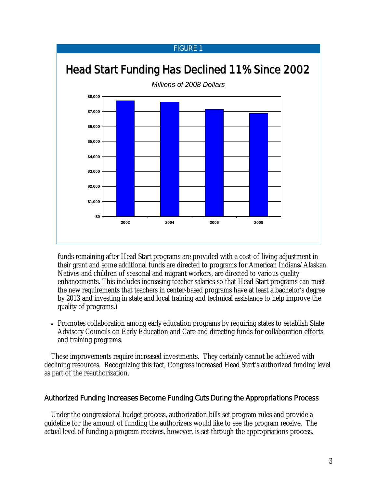### FIGURE 1



funds remaining after Head Start programs are provided with a cost-of-living adjustment in their grant and some additional funds are directed to programs for American Indians/Alaskan Natives and children of seasonal and migrant workers, are directed to various quality enhancements. This includes increasing teacher salaries so that Head Start programs can meet the new requirements that teachers in center-based programs have at least a bachelor's degree by 2013 and investing in state and local training and technical assistance to help improve the quality of programs.)

• Promotes collaboration among early education programs by requiring states to establish State Advisory Councils on Early Education and Care and directing funds for collaboration efforts and training programs.

These improvements require increased investments. They certainly cannot be achieved with declining resources. Recognizing this fact, Congress increased Head Start's authorized funding level as part of the reauthorization.

## Authorized Funding *Increases* Become Funding *Cuts* During the Appropriations Process

 Under the congressional budget process, authorization bills set program rules and provide a guideline for the amount of funding the authorizers would like to see the program receive. The actual level of funding a program receives, however, is set through the appropriations process.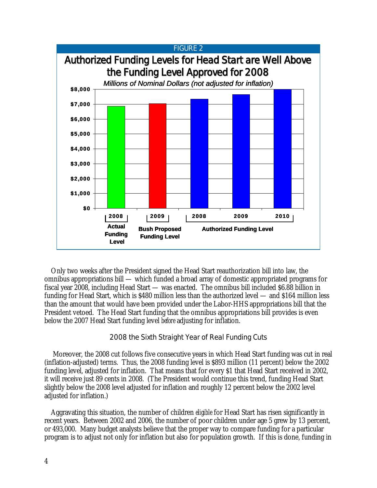

 Only two weeks after the President signed the Head Start reauthorization bill into law, the omnibus appropriations bill — which funded a broad array of domestic appropriated programs for fiscal year 2008, including Head Start — was enacted. The omnibus bill included \$6.88 billion in funding for Head Start, which is \$480 million less than the authorized level — and \$164 million less than the amount that would have been provided under the Labor-HHS appropriations bill that the President vetoed. The Head Start funding that the omnibus appropriations bill provides is even below the 2007 Head Start funding level *before* adjusting for inflation.

## 2008 the Sixth Straight Year of Real Funding Cuts

 Moreover, the 2008 cut follows five consecutive years in which Head Start funding was cut in real (inflation-adjusted) terms. Thus, the 2008 funding level is \$893 million (11 percent) below the 2002 funding level, adjusted for inflation. That means that for every \$1 that Head Start received in 2002, it will receive just 89 cents in 2008. (The President would continue this trend, funding Head Start slightly below the 2008 level adjusted for inflation and roughly 12 percent below the 2002 level adjusted for inflation.)

Aggravating this situation, the number of children *eligible* for Head Start has risen significantly in recent years. Between 2002 and 2006, the number of poor children under age 5 grew by 13 percent, or 493,000. Many budget analysts believe that the proper way to compare funding for a particular program is to adjust not only for inflation but also for population growth. If this is done, funding in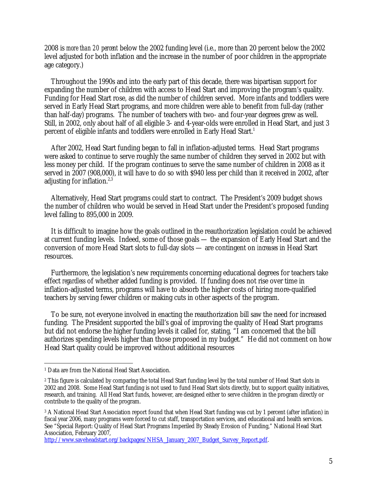2008 is *more than 20 percent* below the 2002 funding level (i.e., more than 20 percent below the 2002 level adjusted for both inflation and the increase in the number of poor children in the appropriate age category.)

 Throughout the 1990s and into the early part of this decade, there was bipartisan support for expanding the number of children with access to Head Start and improving the program's quality. Funding for Head Start rose, as did the number of children served. More infants and toddlers were served in Early Head Start programs, and more children were able to benefit from full-day (rather than half-day) programs. The number of teachers with two- and four-year degrees grew as well. Still, in 2002, only about half of all eligible 3- and 4-year-olds were enrolled in Head Start, and just 3 percent of eligible infants and toddlers were enrolled in Early Head Start.<sup>1</sup>

 After 2002, Head Start funding began to fall in inflation-adjusted terms. Head Start programs were asked to continue to serve roughly the same number of children they served in 2002 but with less money per child. If the program continues to serve the same number of children in 2008 as it served in 2007 (908,000), it will have to do so with \$940 less per child than it received in 2002, after adjusting for inflation.2,3

Alternatively, Head Start programs could start to contract. The President's 2009 budget shows the number of children who would be served in Head Start under the President's proposed funding level falling to 895,000 in 2009.

 It is difficult to imagine how the goals outlined in the reauthorization legislation could be achieved at current funding levels. Indeed, some of those goals — the expansion of Early Head Start and the conversion of more Head Start slots to full-day slots — are contingent on *increases* in Head Start resources.

Furthermore, the legislation's new requirements concerning educational degrees for teachers take effect *regardless* of whether added funding is provided. If funding does not rise over time in inflation-adjusted terms, programs will have to absorb the higher costs of hiring more-qualified teachers by serving fewer children or making cuts in other aspects of the program.

 To be sure, not everyone involved in enacting the reauthorization bill saw the need for increased funding. The President supported the bill's goal of improving the quality of Head Start programs but did not endorse the higher funding levels it called for, stating, "I am concerned that the bill authorizes spending levels higher than those proposed in my budget." He did not comment on how Head Start quality could be improved without additional resources

http://www.saveheadstart.org/backpages/NHSA\_January\_2007\_Budget\_Survey\_Report.pdf.

 $\overline{a}$ 1 Data are from the National Head Start Association.

<sup>&</sup>lt;sup>2</sup> This figure is calculated by comparing the total Head Start funding level by the total number of Head Start slots in 2002 and 2008. Some Head Start funding is not used to fund Head Start slots directly, but to support quality initiatives, research, and training. All Head Start funds, however, are designed either to serve children in the program directly or contribute to the quality of the program.

<sup>3</sup> A National Head Start Association report found that when Head Start funding was cut by 1 percent (after inflation) in fiscal year 2006, many programs were forced to cut staff, transportation services, and educational and health services. See "Special Report: Quality of Head Start Programs Imperiled By Steady Erosion of Funding," National Head Start Association, February 2007,